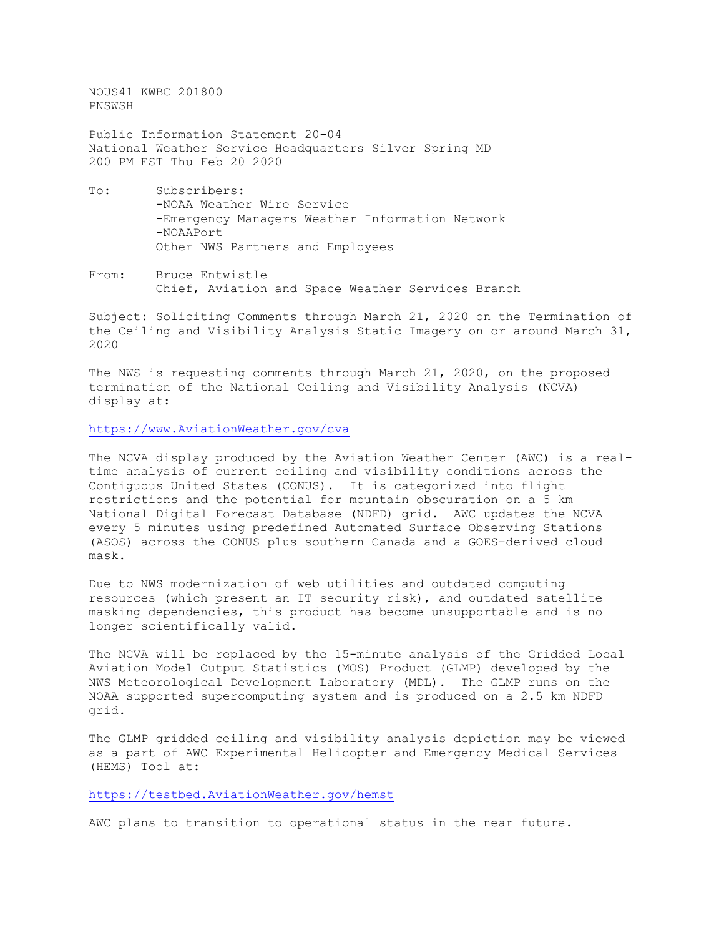NOUS41 KWBC 201800 PNSWSH Public Information Statement 20-04 National Weather Service Headquarters Silver Spring MD 200 PM EST Thu Feb 20 2020 To: Subscribers:

- -NOAA Weather Wire Service -Emergency Managers Weather Information Network -NOAAPort Other NWS Partners and Employees
- From: Bruce Entwistle Chief, Aviation and Space Weather Services Branch

Subject: Soliciting Comments through March 21, 2020 on the Termination of the Ceiling and Visibility Analysis Static Imagery on or around March 31, 2020

The NWS is requesting comments through March 21, 2020, on the proposed termination of the National Ceiling and Visibility Analysis (NCVA) display at:

[https://www.AviationWeather.gov/cva](https://www.aviationweather.gov/cva)

The NCVA display produced by the Aviation Weather Center (AWC) is a realtime analysis of current ceiling and visibility conditions across the Contiguous United States (CONUS). It is categorized into flight restrictions and the potential for mountain obscuration on a 5 km National Digital Forecast Database (NDFD) grid. AWC updates the NCVA every 5 minutes using predefined Automated Surface Observing Stations (ASOS) across the CONUS plus southern Canada and a GOES-derived cloud mask.

Due to NWS modernization of web utilities and outdated computing resources (which present an IT security risk), and outdated satellite masking dependencies, this product has become unsupportable and is no longer scientifically valid.

The NCVA will be replaced by the 15-minute analysis of the Gridded Local Aviation Model Output Statistics (MOS) Product (GLMP) developed by the NWS Meteorological Development Laboratory (MDL). The GLMP runs on the NOAA supported supercomputing system and is produced on a 2.5 km NDFD grid.

The GLMP gridded ceiling and visibility analysis depiction may be viewed as a part of AWC Experimental Helicopter and Emergency Medical Services (HEMS) Tool at:

## [https://testbed.AviationWeather.gov/hemst](https://testbed.aviationweather.gov/hemst)

AWC plans to transition to operational status in the near future.